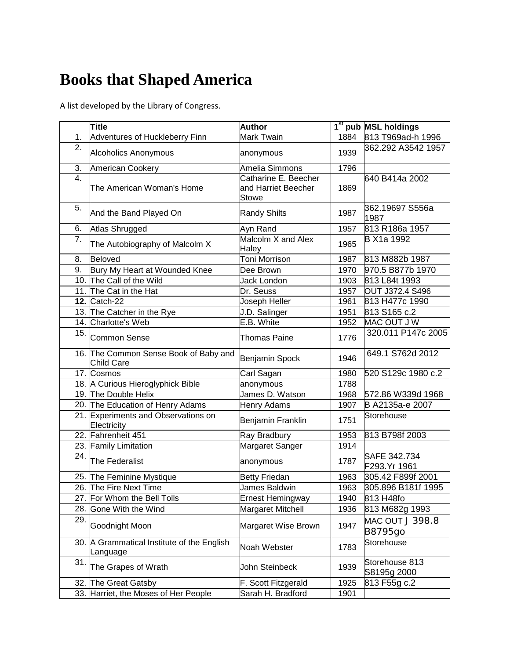## **Books that Shaped America**

A list developed by the Library of Congress.

|                   | <b>Title</b>                                           | <b>Author</b>                                        |      | 1 <sup>st</sup> pub MSL holdings  |
|-------------------|--------------------------------------------------------|------------------------------------------------------|------|-----------------------------------|
| 1.                | Adventures of Huckleberry Finn                         | Mark Twain                                           | 1884 | 813 T969ad-h 1996                 |
| 2.                | Alcoholics Anonymous                                   | anonymous                                            | 1939 | 362.292 A3542 1957                |
| 3.                | American Cookery                                       | Amelia Simmons                                       | 1796 |                                   |
| 4.                | The American Woman's Home                              | Catharine E. Beecher<br>and Harriet Beecher<br>Stowe | 1869 | 640 B414a 2002                    |
| 5.                | And the Band Played On                                 | <b>Randy Shilts</b>                                  | 1987 | 362.19697 S556a<br>1987           |
| 6.                | Atlas Shrugged                                         | Ayn Rand                                             | 1957 | 813 R186a 1957                    |
| 7.                | The Autobiography of Malcolm X                         | Malcolm X and Alex<br>Haley                          | 1965 | B X1a 1992                        |
| 8.                | Beloved                                                | Toni Morrison                                        | 1987 | 813 M882b 1987                    |
| 9.                | Bury My Heart at Wounded Knee                          | Dee Brown                                            | 1970 | 970.5 B877b 1970                  |
|                   | 10. The Call of the Wild                               | Jack London                                          | 1903 | 813 L84t 1993                     |
|                   | 11. The Cat in the Hat                                 | Dr. Seuss                                            | 1957 | OUT J372.4 S496                   |
|                   | <b>12. Catch-22</b>                                    | Joseph Heller                                        | 1961 | 813 H477c 1990                    |
|                   | 13. The Catcher in the Rye                             | J.D. Salinger                                        | 1951 | 813 S165 c.2                      |
|                   | 14. Charlotte's Web                                    | E.B. White                                           | 1952 | MAC OUT J W                       |
| 15.               | Common Sense                                           | Thomas Paine                                         | 1776 | 320.011 P147c 2005                |
|                   | 16. The Common Sense Book of Baby and<br>Child Care    | Benjamin Spock                                       | 1946 | 649.1 S762d 2012                  |
|                   | 17. Cosmos                                             | Carl Sagan                                           | 1980 | 520 S129c 1980 c.2                |
|                   | 18. A Curious Hieroglyphick Bible                      | anonymous                                            | 1788 |                                   |
|                   | 19. The Double Helix                                   | James D. Watson                                      | 1968 | 572.86 W339d 1968                 |
|                   | 20. The Education of Henry Adams                       | <b>Henry Adams</b>                                   | 1907 | B A2135a-e 2007                   |
|                   | 21. Experiments and Observations on<br>Electricity     | Benjamin Franklin                                    | 1751 | Storehouse                        |
|                   | 22. Fahrenheit 451                                     | Ray Bradbury                                         | 1953 | 813 B798f 2003                    |
|                   | 23. Family Limitation                                  | Margaret Sanger                                      | 1914 |                                   |
| $\overline{24}$ . | The Federalist                                         | anonymous                                            | 1787 | SAFE 342.734<br>F293.Yr 1961      |
|                   | 25. The Feminine Mystique                              | <b>Betty Friedan</b>                                 | 1963 | 305.42 F899f 2001                 |
|                   | 26. The Fire Next Time                                 | James Baldwin                                        | 1963 | 305.896 B181f 1995                |
|                   | 27. For Whom the Bell Tolls                            | Ernest Hemingway                                     | 1940 | 813 H48fo                         |
| 28.               | Gone With the Wind                                     | Margaret Mitchell                                    | 1936 | 813 M682g 1993                    |
| 29.               | Goodnight Moon                                         | Margaret Wise Brown                                  | 1947 | MAC OUT J 398.8<br><b>B8795go</b> |
|                   | 30. A Grammatical Institute of the English<br>Language | Noah Webster                                         | 1783 | Storehouse                        |
| 31.               | The Grapes of Wrath                                    | John Steinbeck                                       | 1939 | Storehouse 813<br>S8195g 2000     |
|                   | 32. The Great Gatsby                                   | F. Scott Fitzgerald                                  | 1925 | 813 F55g c.2                      |
|                   | 33. Harriet, the Moses of Her People                   | Sarah H. Bradford                                    | 1901 |                                   |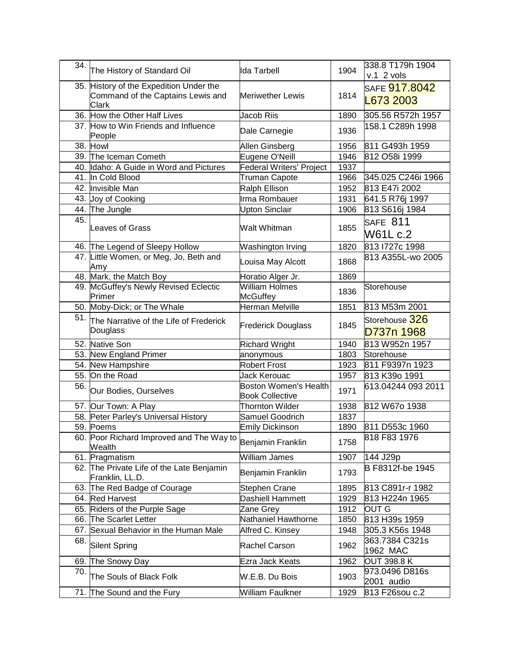| 34. | The History of Standard Oil                                                           | Ida Tarbell                                            | 1904 | l338.8 T179h 1904<br>$v.1$ 2 vols |
|-----|---------------------------------------------------------------------------------------|--------------------------------------------------------|------|-----------------------------------|
|     | 35. History of the Expedition Under the<br>Command of the Captains Lewis and<br>Clark | <b>Meriwether Lewis</b>                                | 1814 | SAFE <b>917.8042</b><br>L673 2003 |
|     | 36. How the Other Half Lives                                                          | Jacob Riis                                             | 1890 | 305.56 R572h 1957                 |
|     | 37. How to Win Friends and Influence<br>People                                        | Dale Carnegie                                          | 1936 | 158.1 C289h 1998                  |
|     | 38. Howl                                                                              | Allen Ginsberg                                         | 1956 | 811 G493h 1959                    |
|     | 39. The Iceman Cometh                                                                 | Eugene O'Neill                                         | 1946 | 812 O58i 1999                     |
|     | 40. Idaho: A Guide in Word and Pictures                                               | <b>Federal Writers' Project</b>                        | 1937 |                                   |
|     | 41. In Cold Blood                                                                     | <b>Truman Capote</b>                                   | 1966 | 345.025 C246i 1966                |
|     | 42. Invisible Man                                                                     | Ralph Ellison                                          | 1952 | 813 E47i 2002                     |
|     | 43. Joy of Cooking                                                                    | Irma Rombauer                                          | 1931 | 641.5 R76j 1997                   |
|     | 44. The Jungle                                                                        | <b>Upton Sinclair</b>                                  | 1906 | 813 S616j 1984                    |
| 45. | Leaves of Grass                                                                       | Walt Whitman                                           | 1855 | SAFE 811<br>W61L c.2              |
|     | 46. The Legend of Sleepy Hollow                                                       | Washington Irving                                      | 1820 | 813 727c 1998                     |
|     | 47. Little Women, or Meg, Jo, Beth and<br>Amy                                         | Louisa May Alcott                                      | 1868 | 813 A355L-wo 2005                 |
|     | 48. Mark, the Match Boy                                                               | Horatio Alger Jr.                                      | 1869 |                                   |
|     | 49. McGuffey's Newly Revised Eclectic<br>Primer                                       | <b>William Holmes</b><br><b>McGuffey</b>               | 1836 | Storehouse                        |
|     | 50. Moby-Dick; or The Whale                                                           | Herman Melville                                        | 1851 | 813 M53m 2001                     |
|     | 51. The Narrative of the Life of Frederick<br>Douglass                                | <b>Frederick Douglass</b>                              | 1845 | Storehouse 326<br>D737n 1968      |
|     | 52. Native Son                                                                        | <b>Richard Wright</b>                                  | 1940 | 813 W952n 1957                    |
|     | 53. New England Primer                                                                | anonymous                                              | 1803 | Storehouse                        |
|     | 54. New Hampshire                                                                     | <b>Robert Frost</b>                                    | 1923 | 811 F9397n 1923                   |
|     | 55. On the Road                                                                       | Jack Kerouac                                           | 1957 | 813 K39o 1991                     |
| 56. | Our Bodies, Ourselves                                                                 | <b>Boston Women's Health</b><br><b>Book Collective</b> | 1971 | 613.04244 093 2011                |
|     | 57. Our Town: A Play                                                                  | <b>Thornton Wilder</b>                                 | 1938 | 812 W67o 1938                     |
|     | 58. Peter Parley's Universal History                                                  | Samuel Goodrich                                        | 1837 |                                   |
|     | 59. Poems                                                                             | Emily Dickinson                                        | 1890 | 811 D553c 1960                    |
|     | 60. Poor Richard Improved and The Way to<br>Wealth                                    | Benjamin Franklin                                      | 1758 | 818 F83 1976                      |
|     | 61. Pragmatism                                                                        | William James                                          | 1907 | 144 J29p                          |
|     | 62. The Private Life of the Late Benjamin<br>Franklin, LL.D.                          | Benjamin Franklin                                      | 1793 | B F8312f-be 1945                  |
|     | 63. The Red Badge of Courage                                                          | <b>Stephen Crane</b>                                   | 1895 | 813 C891r-r 1982                  |
|     | 64. Red Harvest                                                                       | <b>Dashiell Hammett</b>                                | 1929 | 813 H224n 1965                    |
|     | 65. Riders of the Purple Sage                                                         | Zane Grey                                              | 1912 | <b>OUT G</b>                      |
|     | 66. The Scarlet Letter                                                                | Nathaniel Hawthorne                                    | 1850 | 813 H39s 1959                     |
|     | 67. Sexual Behavior in the Human Male                                                 | Alfred C. Kinsey                                       | 1948 | 305.3 K56s 1948                   |
| 68. | Silent Spring                                                                         | Rachel Carson                                          | 1962 | 363.7384 C321s<br>1962 MAC        |
|     | 69. The Snowy Day                                                                     | Ezra Jack Keats                                        | 1962 | <b>OUT 398.8 K</b>                |
| 70. | The Souls of Black Folk                                                               | W.E.B. Du Bois                                         | 1903 | 973.0496 D816s<br>2001 audio      |
|     | 71. The Sound and the Fury                                                            | William Faulkner                                       | 1929 | 813 F26sou c.2                    |